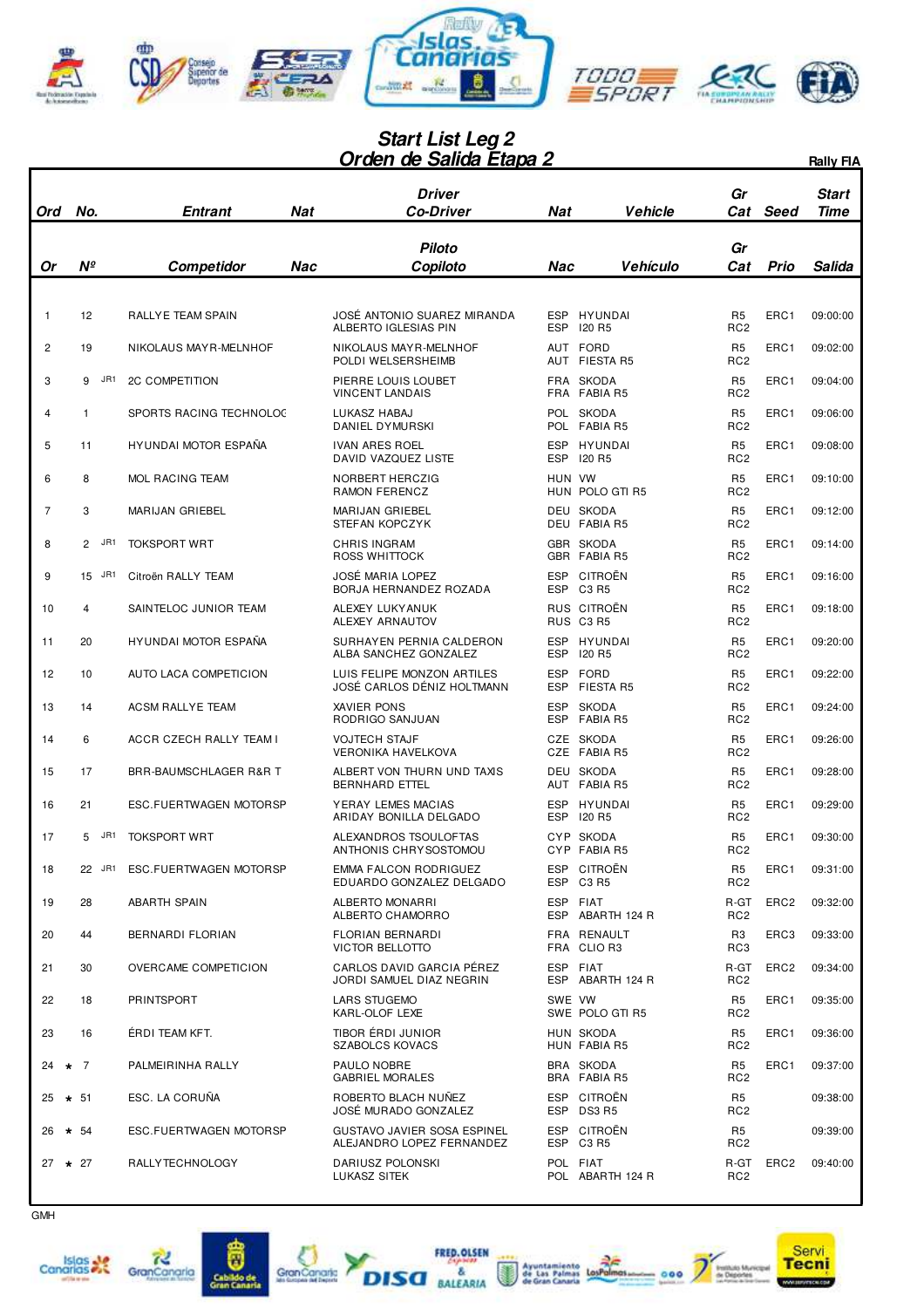

## **Orden de Salida Etapa 2 Start List Leg 2**

|                    |              |                                     |            | <u> Urden de Salida Etapa 2</u>                              |                          |                                        |                                                     |                  | <b>Rally FIA</b>     |
|--------------------|--------------|-------------------------------------|------------|--------------------------------------------------------------|--------------------------|----------------------------------------|-----------------------------------------------------|------------------|----------------------|
| Ord                | No.          | Entrant                             | <b>Nat</b> | Driver<br>Co-Driver                                          | Nat                      | <b>Vehicle</b>                         | Gr<br>Cat                                           | Seed             | <b>Start</b><br>Time |
| Or                 | $N^{\circ}$  | Competidor                          | Nac        | <b>Piloto</b><br>Copiloto                                    | Nac                      | Vehículo                               | Gr<br>Cat                                           | Prio             | Salida               |
| $\mathbf{1}$       | 12           | RALLYE TEAM SPAIN                   |            | JOSÉ ANTONIO SUAREZ MIRANDA<br>ALBERTO IGLESIAS PIN          | <b>ESP</b>               | ESP HYUNDAI<br><b>120 R5</b>           | R <sub>5</sub><br>RC <sub>2</sub>                   | ERC1             | 09:00:00             |
| $\overline{2}$     | 19           | NIKOLAUS MAY R-MELNHOF              |            | NIKOLAUS MAYR-MELNHOF<br>POLDI WELSERSHEIMB                  |                          | AUT FORD<br>AUT FIESTA R5              | R <sub>5</sub><br>RC <sub>2</sub>                   | ERC1             | 09:02:00             |
| 3                  | JR1<br>9     | <b>2C COMPETITION</b>               |            | PIERRE LOUIS LOUBET<br><b>VINCENT LANDAIS</b>                |                          | FRA SKODA<br>FRA FABIA R5              | R <sub>5</sub><br>RC <sub>2</sub>                   | ERC1             | 09:04:00             |
| 4                  | $\mathbf{1}$ | SPORTS RACING TECHNOLOC             |            | LUKASZ HABAJ<br>DANIEL DYMURSKI                              |                          | POL SKODA<br>POL FABIA R5              | R <sub>5</sub><br>RC <sub>2</sub>                   | ERC1             | 09:06:00             |
| 5                  | 11           | HYUNDAI MOTOR ESPAÑA                |            | <b>IVAN ARES ROEL</b><br><b>DAVID VAZQUEZ LISTE</b>          | <b>ESP</b>               | HYUNDAI<br>ESP 120 R5                  | R <sub>5</sub><br>RC <sub>2</sub>                   | ERC1             | 09:08:00             |
| 6                  | 8            | MOL RACING TEAM                     |            | NORBERT HERCZIG<br>RAMON FERENCZ                             | HUN VW                   | HUN POLO GTI R5                        | R <sub>5</sub><br>RC <sub>2</sub>                   | ERC1             | 09:10:00             |
| 7                  | 3            | MARIJAN GRIEBEL                     |            | MARIJAN GRIEBEL<br>STEFAN KOPCZYK                            |                          | DEU SKODA<br>DEU FABIA R5              | R <sub>5</sub><br>RC <sub>2</sub>                   | ERC1             | 09:12:00             |
| 8                  | 2 JR1        | <b>TOKSPORT WRT</b>                 |            | <b>CHRIS INGRAM</b><br>ROSS WHITTOCK                         |                          | GBR SKODA<br>GBR FABIA R5              | R <sub>5</sub><br>RC <sub>2</sub>                   | ERC1             | 09:14:00             |
| 9                  | 15 JR1       | Citroën RALLY TEAM                  |            | <b>JOSÉ MARIA LOPEZ</b><br>BORJA HERNANDEZ ROZADA            |                          | ESP CITROËN<br>ESP C3 R5               | R <sub>5</sub><br>RC <sub>2</sub>                   | ERC1             | 09:16:00             |
| 10                 | 4            | SAINTELOC JUNIOR TEAM               |            | ALEXEY LUKY ANUK<br>ALEXEY ARNAUTOV                          |                          | RUS CITROËN<br>RUS C3 R5               | R <sub>5</sub><br>RC <sub>2</sub>                   | ERC1             | 09:18:00             |
| 11                 | 20           | HYUNDAI MOTOR ESPAÑA                |            | SURHAYEN PERNIA CALDERON<br>ALBA SANCHEZ GONZALEZ            | <b>ESP</b>               | ESP HYUNDAI<br>120 R5                  | R <sub>5</sub><br>RC <sub>2</sub>                   | ERC1             | 09:20:00             |
| 12                 | 10           | AUTO LACA COMPETICION               |            | LUIS FELIPE MONZON ARTILES<br>JOSÉ CARLOS DÉNIZ HOLTMANN     | <b>ESP</b><br><b>ESP</b> | FORD<br><b>FIESTA R5</b>               | R <sub>5</sub><br>RC <sub>2</sub>                   | ERC1             | 09:22:00             |
| 13                 | 14           | <b>ACSM RALLYE TEAM</b>             |            | <b>XAVIER PONS</b><br>RODRIGO SANJUAN                        | <b>ESP</b>               | <b>SKODA</b><br>ESP FABIA R5           | R <sub>5</sub><br>RC <sub>2</sub>                   | ERC1             | 09:24:00             |
| 14                 | 6            | ACCR CZECH RALLY TEAM I             |            | <b>VOJTECH STAJF</b><br><b>VERONIKA HAVELKOVA</b>            |                          | CZE SKODA<br>CZE FABIA R5              | R <sub>5</sub><br>RC <sub>2</sub>                   | ERC1             | 09:26:00             |
| 15                 | 17           | BRR-BAUMSCHLAGER R&R T              |            | ALBERT VON THURN UND TAXIS<br><b>BERNHARD ETTEL</b>          |                          | DEU SKODA<br>AUT FABIA R5              | R <sub>5</sub><br>RC <sub>2</sub>                   | ERC1             | 09:28:00             |
| 16                 | 21           | ESC.FUERTWAGEN MOTORSP              |            | YERAY LEMES MACIAS<br>ARIDAY BONILLA DELGADO                 | <b>ESP</b><br><b>ESP</b> | HYUNDAI<br>120 R <sub>5</sub>          | R <sub>5</sub><br>RC <sub>2</sub>                   | ERC1             | 09:29:00             |
| 17                 | 5<br>JR1     | <b>TOKSPORT WRT</b>                 |            | ALEXANDROS TSOULOFTAS<br>ANTHONIS CHRYSOSTOMOU               |                          | CYP SKODA<br>CYP FABIA R5              | R <sub>5</sub><br>RC <sub>2</sub>                   | ERC1             | 09:30:00             |
| 18                 | 22 JR1       | ESC.FUERTWAGEN MOTORSP              |            | <b>EMMA FALCON RODRIGUEZ</b><br>EDUARDO GONZALEZ DELGADO     |                          | ESP CITROËN<br>ESP C3 R5               | R <sub>5</sub><br>RC <sub>2</sub>                   | ERC1             | 09:31:00             |
| 19                 | 28           | <b>ABARTH SPAIN</b>                 |            | ALBERTO MONARRI<br>ALBERTO CHAMORRO                          |                          | ESP FIAT<br>ESP ABARTH 124 R           | R-GT<br>RC <sub>2</sub>                             | ERC <sub>2</sub> | 09:32:00             |
| 20                 | 44           | BERNARDI FLORIAN                    |            | <b>FLORIAN BERNARDI</b><br>VICTOR BELLOTTO                   |                          | FRA RENAULT<br>FRA CLIO R3             | R3<br>RC3                                           | ERC3             | 09:33:00             |
| 21                 | 30           | OVERCAME COMPETICION                |            | CARLOS DAVID GARCIA PÉREZ<br>JORDI SAMUEL DIAZ NEGRIN        |                          | ESP FIAT<br>ESP ABARTH 124 R           | R-GT<br>RC <sub>2</sub>                             | ERC <sub>2</sub> | 09:34:00             |
| 22                 | 18           | PRINTSPORT                          |            | <b>LARS STUGEMO</b><br>KARL-OLOF LEXE<br>TIBOR ÉRDI JUNIOR   | SWE VW                   | SWE POLO GTI R5                        | R <sub>5</sub><br>RC <sub>2</sub>                   | ERC1             | 09:35:00             |
| 23                 | 16           | ÉRDI TEAM KFT.                      |            | <b>SZABOLCS KOVACS</b>                                       |                          | HUN SKODA<br>HUN FABIA R5<br>BRA SKODA | R <sub>5</sub><br>RC <sub>2</sub>                   | ERC1             | 09:36:00             |
| 24 $\star$ 7<br>25 | $\star$ 51   | PALMEIRINHA RALLY<br>ESC. LA CORUÑA |            | PAULO NOBRE<br><b>GABRIEL MORALES</b><br>ROBERTO BLACH NUÑEZ |                          | BRA FABIA R5<br>ESP CITROËN            | R <sub>5</sub><br>RC <sub>2</sub><br>R <sub>5</sub> | ERC1             | 09:37:00<br>09:38:00 |
| 26                 | $\star$ 54   | ESC.FUERTWAGEN MOTORSP              |            | JOSÉ MURADO GONZALEZ<br><b>GUSTAVO JAVIER SOSA ESPINEL</b>   |                          | ESP DS3 R5<br>ESP CITROËN              | RC <sub>2</sub><br>R <sub>5</sub>                   |                  | 09:39:00             |
|                    |              |                                     |            | ALEJANDRO LOPEZ FERNANDEZ                                    |                          | ESP C3 R5                              | RC <sub>2</sub>                                     |                  |                      |
| $27 \div 27$       |              | RALLY TECHNOLOGY                    |            | DARIUSZ POLONSKI<br>LUKASZ SITEK                             |                          | POL FIAT<br>POL ABARTH 124 R           | R-GT<br>RC <sub>2</sub>                             | ERC <sub>2</sub> | 09:40:00             |









ã

Cabildo<br>Gran Can



FRED.OLSEN

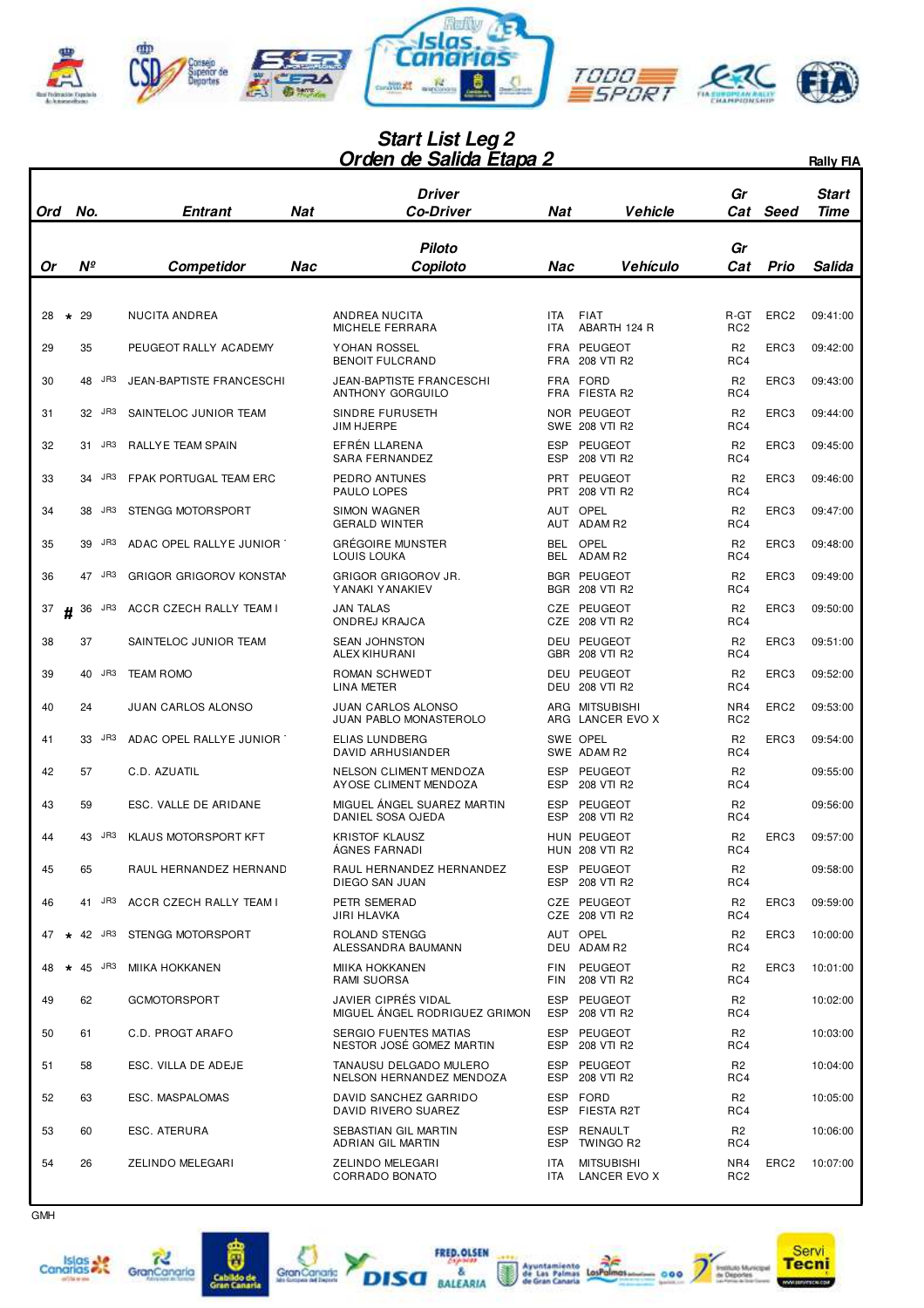

## **Orden de Salida Etapa 2 Start List Leg 2**

|     |                |                                 |     | <u> Urden de Salida Etapa 2</u>                      |                          |                                      |                         |                  | <b>Rally FIA</b>     |
|-----|----------------|---------------------------------|-----|------------------------------------------------------|--------------------------|--------------------------------------|-------------------------|------------------|----------------------|
| Ord | No.            | Entrant                         | Nat | Driver<br><i><b>Co-Driver</b></i>                    | Nat                      | Vehicle                              | Gr<br>Cat               | Seed             | Start<br><b>Time</b> |
| Or  | Nº             | Competidor                      | Nac | <b>Piloto</b><br>Copiloto                            | Nac                      | <b>Vehículo</b>                      | Gr<br>Cat               | <b>Prio</b>      | Salida               |
| 28  | 29<br>$\star$  | NUCITA ANDREA                   |     | ANDREA NUCITA<br><b>MICHELE FERRARA</b>              | <b>ITA</b><br><b>ITA</b> | <b>FIAT</b><br>ABARTH 124 R          | R-GT<br>RC <sub>2</sub> | ERC <sub>2</sub> | 09:41:00             |
| 29  | 35             | PEUGEOT RALLY ACADEMY           |     | YOHAN ROSSEL<br><b>BENOIT FULCRAND</b>               |                          | FRA PEUGEOT<br>FRA 208 VTI R2        | R <sub>2</sub><br>RC4   | ERC3             | 09:42:00             |
| 30  | JR3<br>48      | <b>JEAN-BAPTISTE FRANCESCHI</b> |     | <b>JEAN-BAPTISTE FRANCESCHI</b><br>ANTHONY GORGUILO  |                          | FRA FORD<br>FRA FIESTA R2            | R <sub>2</sub><br>RC4   | ERC3             | 09:43:00             |
| 31  | 32 JR3         | SAINTELOC JUNIOR TEAM           |     | SINDRE FURUSETH<br>JIM HJERPE                        |                          | NOR PEUGEOT<br>SWE 208 VTI R2        | R <sub>2</sub><br>RC4   | ERC3             | 09:44:00             |
| 32  | JR3<br>31      | RALLY E TEAM SPAIN              |     | EFRÉN LLARENA<br>SARA FERNANDEZ                      | <b>ESP</b><br>ESP        | PEUGEOT<br>208 VTI R2                | R <sub>2</sub><br>RC4   | ERC3             | 09:45:00             |
| 33  | 34 JR3         | FPAK PORTUGAL TEAM ERC          |     | PEDRO ANTUNES<br>PAULO LOPES                         |                          | PRT PEUGEOT<br>PRT 208 VTI R2        | R <sub>2</sub><br>RC4   | ERC3             | 09:46:00             |
| 34  | JR3<br>38      | STENGG MOTORSPORT               |     | <b>SIMON WAGNER</b><br><b>GERALD WINTER</b>          |                          | AUT OPEL<br>AUT ADAM R2              | R <sub>2</sub><br>RC4   | ERC3             | 09:47:00             |
| 35  | JR3<br>39      | ADAC OPEL RALLYE JUNIOR         |     | GRÉGOIRE MUNSTER<br>LOUIS LOUKA                      |                          | BEL OPEL<br>BEL ADAM R2              | R <sub>2</sub><br>RC4   | ERC3             | 09:48:00             |
| 36  | JR3<br>47      | <b>GRIGOR GRIGOROV KONSTAN</b>  |     | GRIGOR GRIGOROV JR.<br>YANAKI YANAKIEV               |                          | <b>BGR PEUGEOT</b><br>BGR 208 VTI R2 | R <sub>2</sub><br>RC4   | ERC3             | 09:49:00             |
| 37  | JR3<br>36<br>Н | ACCR CZECH RALLY TEAM I         |     | <b>JAN TALAS</b><br>ONDREJ KRAJCA                    |                          | CZE PEUGEOT<br>CZE 208 VTI R2        | R <sub>2</sub><br>RC4   | ERC3             | 09:50:00             |
| 38  | 37             | SAINTELOC JUNIOR TEAM           |     | <b>SEAN JOHNSTON</b><br>ALEX KIHURANI                |                          | DEU PEUGEOT<br>GBR 208 VTI R2        | R <sub>2</sub><br>RC4   | ERC3             | 09:51:00             |
| 39  | JR3<br>40      | <b>TEAM ROMO</b>                |     | ROMAN SCHWEDT<br>LINA METER                          |                          | DEU PEUGEOT<br><b>DEU 208 VTI R2</b> | R <sub>2</sub><br>RC4   | ERC3             | 09:52:00             |
| 40  | 24             | <b>JUAN CARLOS ALONSO</b>       |     | JUAN CARLOS ALONSO<br>JUAN PABLO MONASTEROLO         |                          | ARG MITSUBISHI<br>ARG LANCER EVO X   | NR4<br>RC <sub>2</sub>  | ERC <sub>2</sub> | 09:53:00             |
| 41  | JR3<br>33      | ADAC OPEL RALLYE JUNIOR         |     | ELIAS LUNDBERG<br>DAVID ARHUSIANDER                  |                          | SWE OPEL<br>SWE ADAM R2              | R <sub>2</sub><br>RC4   | ERC3             | 09:54:00             |
| 42  | 57             | C.D. AZUATIL                    |     | NELSON CLIMENT MENDOZA<br>AYOSE CLIMENT MENDOZA      | ESP<br><b>ESP</b>        | PEUGEOT<br>208 VTI R2                | R <sub>2</sub><br>RC4   |                  | 09:55:00             |
| 43  | 59             | ESC. VALLE DE ARIDANE           |     | MIGUEL ÁNGEL SUAREZ MARTIN<br>DANIEL SOSA OJEDA      | <b>ESP</b><br><b>ESP</b> | PEUGEOT<br>208 VTI R2                | R <sub>2</sub><br>RC4   |                  | 09:56:00             |
| 44  | JR3<br>43      | KLAUS MOTORSPORT KFT            |     | KRISTOF KLAUSZ<br>ÁGNES FARNADI                      |                          | HUN PEUGEOT<br><b>HUN 208 VTI R2</b> | R <sub>2</sub><br>RC4   | ERC3             | 09:57:00             |
| 45  | 65             | RAUL HERNANDEZ HERNAND          |     | RAUL HERNANDEZ HERNANDEZ<br><b>DIEGO SAN JUAN</b>    | ESP                      | ESP PEUGEOT<br>208 VTI R2            | R <sub>2</sub><br>RC4   |                  | 09:58:00             |
| 46  | JR3<br>41      | ACCR CZECH RALLY TEAM I         |     | PETR SEMERAD<br>JIRI HLAVKA                          |                          | CZE PEUGEOT<br>CZE 208 VTI R2        | R <sub>2</sub><br>RC4   | ERC3             | 09:59:00             |
| 47  | $\star$ 42 JR3 | STENGG MOTORSPORT               |     | <b>ROLAND STENGG</b><br>ALESSANDRA BAUMANN           |                          | AUT OPEL<br>DEU ADAM R2              | R <sub>2</sub><br>RC4   | ERC3             | 10:00:00             |
| 48  | $\star$ 45 JR3 | MIIKA HOKKANEN                  |     | <b>MIIKA HOKKANEN</b><br>RAMI SUORSA                 | <b>FIN</b><br>FIN        | PEUGEOT<br>208 VTI R2                | R <sub>2</sub><br>RC4   | ERC3             | 10:01:00             |
| 49  | 62             | <b>GCMOTORSPORT</b>             |     | JAVIER CIPRÉS VIDAL<br>MIGUEL ÁNGEL RODRIGUEZ GRIMON | ESP                      | ESP PEUGEOT<br>208 VTI R2            | R <sub>2</sub><br>RC4   |                  | 10:02:00             |
| 50  | 61             | C.D. PROGT ARAFO                |     | SERGIO FUENTES MATIAS<br>NESTOR JOSÉ GOMEZ MARTIN    | ESP                      | PEUGEOT<br>ESP 208 VTI R2            | R <sub>2</sub><br>RC4   |                  | 10:03:00             |
| 51  | 58             | ESC. VILLA DE ADEJE             |     | TANAUSU DELGADO MULERO<br>NELSON HERNANDEZ MENDOZA   | <b>ESP</b>               | ESP PEUGEOT<br>208 VTI R2            | R <sub>2</sub><br>RC4   |                  | 10:04:00             |
| 52  | 63             | ESC. MASPALOMAS                 |     | DAVID SANCHEZ GARRIDO<br>DAVID RIVERO SUAREZ         |                          | ESP FORD<br>ESP FIESTA R2T           | R <sub>2</sub><br>RC4   |                  | 10:05:00             |
| 53  | 60             | ESC. ATERURA                    |     | SEBASTIAN GIL MARTIN<br>ADRIAN GIL MARTIN            | ESP                      | RENAULT<br>ESP TWINGO R2             | R <sub>2</sub><br>RC4   |                  | 10:06:00             |
| 54  | 26             | ZELINDO MELEGARI                |     | ZELINDO MELEGARI<br>CORRADO BONATO                   | <b>ITA</b><br><b>ITA</b> | <b>MITSUBISHI</b><br>LANCER EVO X    | NR4<br>RC <sub>2</sub>  | ERC <sub>2</sub> | 10:07:00             |







 $\overline{\mathbf{a}}$ 





FRED.OLSEN